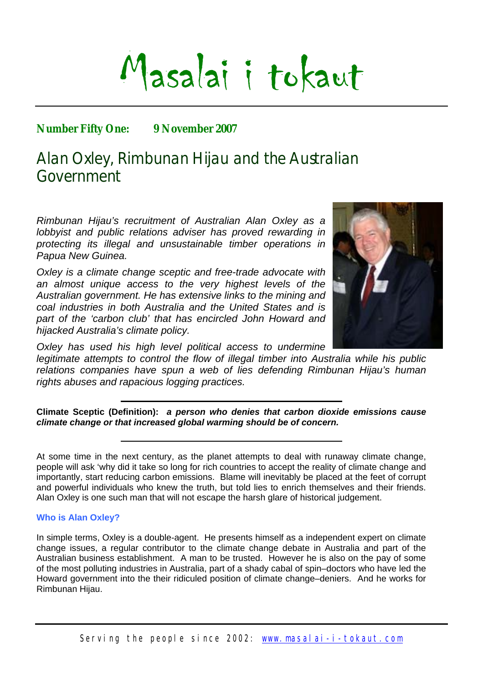# Masalai i tokaut

### **Number Fifty One: 9 November 2007**

## Alan Oxley, Rimbunan Hijau and the Australian Government

*Rimbunan Hijau's recruitment of Australian Alan Oxley as a lobbyist and public relations adviser has proved rewarding in protecting its illegal and unsustainable timber operations in Papua New Guinea.* 

*Oxley is a climate change sceptic and free-trade advocate with an almost unique access to the very highest levels of the Australian government. He has extensive links to the mining and coal industries in both Australia and the United States and is part of the 'carbon club' that has encircled John Howard and hijacked Australia's climate policy.* 



*Oxley has used his high level political access to undermine legitimate attempts to control the flow of illegal timber into Australia while his public relations companies have spun a web of lies defending Rimbunan Hijau's human rights abuses and rapacious logging practices.* 

**Climate Sceptic (Definition):** *a person who denies that carbon dioxide emissions cause climate change or that increased global warming should be of concern.* 

#### **Who is Alan Oxley?**

In simple terms, Oxley is a double-agent. He presents himself as a independent expert on climate change issues, a regular contributor to the climate change debate in Australia and part of the Australian business establishment. A man to be trusted. However he is also on the pay of some of the most polluting industries in Australia, part of a shady cabal of spin–doctors who have led the Howard government into the their ridiculed position of climate change–deniers. And he works for Rimbunan Hijau.

At some time in the next century, as the planet attempts to deal with runaway climate change, people will ask 'why did it take so long for rich countries to accept the reality of climate change and importantly, start reducing carbon emissions. Blame will inevitably be placed at the feet of corrupt and powerful individuals who knew the truth, but told lies to enrich themselves and their friends. Alan Oxley is one such man that will not escape the harsh glare of historical judgement.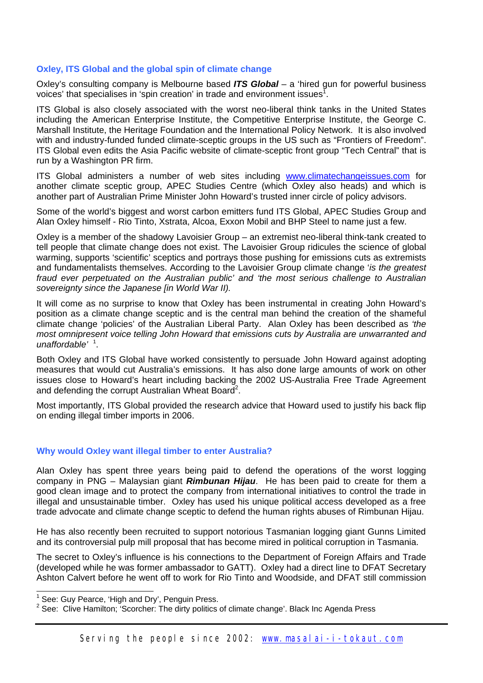#### **Oxley, ITS Global and the global spin of climate change**

Oxley's consulting company is Melbourne based *ITS Global* – a 'hired gun for powerful business voices' that specialises in 'spin creation' in trade and environment issues<sup>[1](#page-1-1)</sup>.

<span id="page-1-0"></span>ITS Global is also closely associated with the worst neo-liberal think tanks in the United States including the American Enterprise Institute, the Competitive Enterprise Institute, the George C. Marshall Institute, the Heritage Foundation and the International Policy Network. It is also involved with and industry-funded funded climate-sceptic groups in the US such as "Frontiers of Freedom". ITS Global even edits the Asia Pacific website of climate-sceptic front group "Tech Central" that is run by a Washington PR firm.

ITS Global administers a number of web sites including [www.climatechangeissues.com](http://www.climatechangeissues.com/) for another climate sceptic group, APEC Studies Centre (which Oxley also heads) and which is another part of Australian Prime Minister John Howard's trusted inner circle of policy advisors.

Some of the world's biggest and worst carbon emitters fund ITS Global, APEC Studies Group and Alan Oxley himself - Rio Tinto, Xstrata, Alcoa, Exxon Mobil and BHP Steel to name just a few.

Oxley is a member of the shadowy Lavoisier Group – an extremist neo-liberal think-tank created to tell people that climate change does not exist. The Lavoisier Group ridicules the science of global warming, supports 'scientific' sceptics and portrays those pushing for emissions cuts as extremists and fundamentalists themselves. According to the Lavoisier Group climate change '*is the greatest fraud ever perpetuated on the Australian public' and 'the most serious challenge to Australian sovereignty since the Japanese [in World War II).*

It will come as no surprise to know that Oxley has been instrumental in creating John Howard's position as a climate change sceptic and is the central man behind the creation of the shameful climate change 'policies' of the Australian Liberal Party. Alan Oxley has been described as *'the most omnipresent voice telling John Howard that emissions cuts by Australia are unwarranted and unaffordable'* [1](#page-1-0) .

Both Oxley and ITS Global have worked consistently to persuade John Howard against adopting measures that would cut Australia's emissions. It has also done large amounts of work on other issues close to Howard's heart including backing the 2002 US-Australia Free Trade Agreement and defending the corrupt Australian Wheat Board<sup>[2](#page-1-2)</sup>.

Most importantly, ITS Global provided the research advice that Howard used to justify his back flip on ending illegal timber imports in 2006.

#### **Why would Oxley want illegal timber to enter Australia?**

Alan Oxley has spent three years being paid to defend the operations of the worst logging company in PNG – Malaysian giant *Rimbunan Hijau*. He has been paid to create for them a good clean image and to protect the company from international initiatives to control the trade in illegal and unsustainable timber. Oxley has used his unique political access developed as a free trade advocate and climate change sceptic to defend the human rights abuses of Rimbunan Hijau.

He has also recently been recruited to support notorious Tasmanian logging giant Gunns Limited and its controversial pulp mill proposal that has become mired in political corruption in Tasmania.

The secret to Oxley's influence is his connections to the Department of Foreign Affairs and Trade (developed while he was former ambassador to GATT). Oxley had a direct line to DFAT Secretary Ashton Calvert before he went off to work for Rio Tinto and Woodside, and DFAT still commission

<span id="page-1-1"></span><sup>&</sup>lt;u>nessen bouwersensence</u><br><sup>1</sup> See: Guy Pearce, 'High and Dry', Penguin Press.

<span id="page-1-2"></span><sup>&</sup>lt;sup>2</sup> See: Clive Hamilton; Scorcher: The dirty politics of climate change'. Black Inc Agenda Press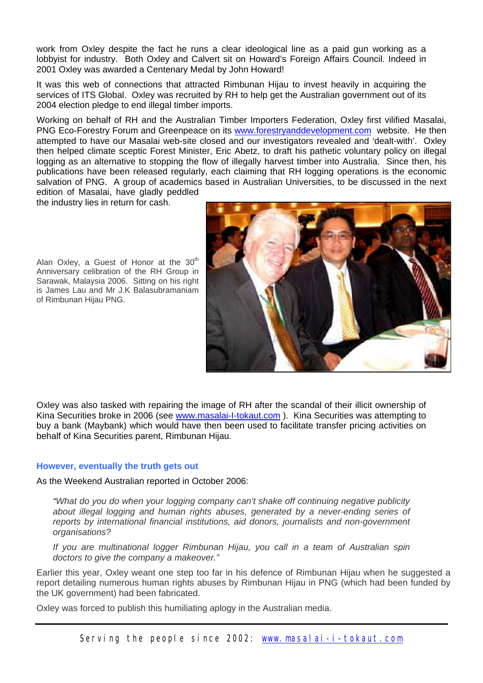work from Oxley despite the fact he runs a clear ideological line as a paid gun working as a lobbyist for industry. Both Oxley and Calvert sit on Howard's Foreign Affairs Council. Indeed in 2001 Oxley was awarded a Centenary Medal by John Howard!

It was this web of connections that attracted Rimbunan Hijau to invest heavily in acquiring the services of ITS Global. Oxley was recruited by RH to help get the Australian government out of its 2004 election pledge to end illegal timber imports.

Working on behalf of RH and the Australian Timber Importers Federation, Oxley first vilified Masalai, PNG Eco-Forestry Forum and Greenpeace on its [www.forestryanddevelopment.com](http://www.forestryanddevelopment.com/) website. He then attempted to have our Masalai web-site closed and our investigators revealed and 'dealt-with'. Oxley then helped climate sceptic Forest Minister, Eric Abetz, to draft his pathetic voluntary policy on illegal logging as an alternative to stopping the flow of illegally harvest timber into Australia. Since then, his publications have been released regularly, each claiming that RH logging operations is the economic salvation of PNG. A group of academics based in Australian Universities, to be discussed in the next edition of Masalai, have gladly peddled

the industry lies in return for cash.

Alan Oxley, a Guest of Honor at the  $30<sup>th</sup>$ Anniversary celibration of the RH Group in Sarawak, Malaysia 2006. Sitting on his right is James Lau and Mr J.K Balasubramaniam of Rimbunan Hijau PNG.



Oxley was also tasked with repairing the [image](http://www.masalai-i-tokaut.com/) of RH after the scandal of their illicit ownership of Kina Securities broke in 2006 (see www.masalai-I-tokaut.com ). Kina Securities was attempting to buy a bank (Maybank) which would have then been used to facilitate transfer pricing activities on behalf of Kina Securities parent, Rimbunan Hijau.

#### **However, eventually the truth gets out**

As the Weekend Australian reported in October 2006:

*"What do you do when your logging company can't shake off continuing negative publicity about illegal logging and human rights abuses, generated by a never-ending series of reports by international financial institutions, aid donors, journalists and non-government organisations?* 

*If you are multinational logger Rimbunan Hijau, you call in a team of Australian spin doctors to give the company a makeover."*

Earlier this year, Oxley weant one step too far in his defence of Rimbunan Hijau when he suggested a report detailing numerous human rights abuses by Rimbunan Hijau in PNG (which had been funded by the UK government) had been fabricated.

Oxley was forced to publish this humiliating aplogy in the Australian media.